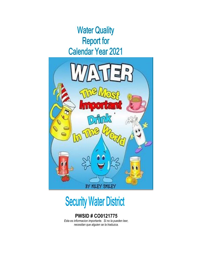## **Water Quality Report for Calendar Year 2021**



# **Security Water District**

### **PWSID # CO0121775**

*Esta es informacion importante. Si no la pueden leer, necesitan que alguien se la traduzca.*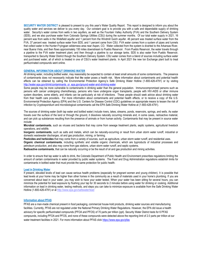**SECURITY WATER DISTRICT** is pleased to present to you this year's Water Quality Report. This report is designed to inform you about the quality water and services we deliver to you every day. Our constant goal is to provide you with a safe and dependable supply of drinking water. Security's water comes from wells in two aquifers, as well as the Fountain Valley Authority (FVA) and the Southern Delivery System (SDS), and we also purchase water from Colorado Springs Utilities (CSU) during the summer months. Of our total water supply in 2021, 16 percent was from wells in the Widefield aquifer and 1 percent from the Windmill Gulch aquifer. 46 percent was treated surface water from the FVA, 37 percent was treated surface water from SDS, and 1 percent came from CSU. FVA water comes from a system of pipes and tunnels that collect water in the Hunter-Fryingpan wilderness area near Aspen, CO. Water collected from the system is diverted to the Arkansas River, near Buena Vista, and then flows approximately 150 miles downstream to Pueblo Reservoir. From Pueblo Reservoir, the water travels through a pipeline to the FVA water treatment plant, and then through a pipeline to our storage tanks. SDS is also water from Pueblo Reservoir, transported to Security Water District though the Southern Delivery System. CSU water comes from a blend of sources including surface water and purchased water, all of which is treated in one of CSU's water treatment plants. In April 2021 the new Ion Exchange plant built to treat perfluorinated compounds went online.

#### **GENERAL INFORMATION ABOUT DRINKING WATER**

All drinking water, including bottled water, may reasonably be expected to contain at least small amounts of some contaminants. The presence of contaminants does not necessarily indicate that t**h**e water poses a health risk. More information about contaminants and potential health effects can be obtained by calling the Environmental Protection Agency's Safe Drinking Water Hotline (1-800-426-4791) or by visiting <http://water.epa.gov/drink/contaminants>or epa.gov/ground-water-and-drinking-water

Some people may be more vulnerable to contaminants in drinking water than the general population. Immunocompromised persons such as persons with cancer undergoing chemotherapy, persons who have undergone organ transplants, people with HIV-AIDS or other immune system disorders, some elderly, and infants can be particularly at risk of infections. These people should seek advice about drinking water from their health care providers. For more information about contaminants and potential health effects, or to receive a copy of the U.S. Environmental Protection Agency (EPA) and the U.S. Centers for Disease Control (CDC) guidelines on appropriate means to lessen the risk of infection by Cryptosporidium and microbiological contaminants call the EPA Safe Drinking Water Hotline at (1-800-426-4791).

The sources of drinking water (both tap water and bottled water) include rivers, lakes, streams, ponds, reservoirs, springs, and wells. As water travels over the surface of the land or through the ground, it dissolves naturally occurring minerals and, in some cases, radioactive material, and can pick up substances resulting from the presence of animals or from human activity. Contaminants that may be present in source water include:

**Microbial contaminants**, such as viruses and bacteria that may come from sewage treatment plants, septic systems, agricultural livestock operations, and wildlife.

**Inorganic contaminants**, such as salts and metals, which can be naturally-occurring or result from urban storm water runoff, industrial or domestic wastewater discharges, oil and gas production, mining, or farming.

**Pesticides and herbicides** that may come from a variety of sources, such as agriculture, urban storm water runoff, and residential uses.

**Organic chemical contaminants**, including synthetic and volatile organic chemicals, which are byproducts of industrial processes and petroleum production, and also may come from gas stations, urban storm water runoff, and septic systems.

**Radioactive contaminants**, that can be naturally occurring or be the result of oil and gas production and mining activities.

In order to ensure that tap water is safe to drink, the Colorado Department of Public Health and Environment prescribes regulations limiting the amount of certain contaminants in water provided by public water systems. The Food and Drug Administration regulations establish limits for contaminants in bottled water that must provide the same protection for public health.

#### **Lead in Drinking Water**

If present, elevated levels of lead can cause serious health problems (especially for pregnant women and young children). It is possible that lead levels at your home may be higher than other homes in the community as a result of materials used in your home's plumbing. If you are concerned about lead in your water, you may wish to have your water tested. When your water has been sitting for several hours, you can minimize the potential for lead exposure by flushing your tap for 30 seconds to 2 minutes before using water for drinking or cooking. Additional information on lead in drinking water, testing methods, and steps you can take to minimize exposure is available from the Safe Drinking Water Hotline (1-800-426-4791) or a[t http://www.epa.gov/safewater/lead](http://www.epa.gov/safewater/lead)

#### **Information about PFAS**

PFAS are a man-made chemical present in food packaging, commercial house-hold products, drinking water sources and manufacturing facilities. Currently, PFAS are not regulated under the National Primary Drinking Water Regulations. However, the EPA did issue a health advisory for specific perfluorinated compounds (PFOA and PFOS) of 70 parts per trillion (ppt). Security Water District tests for 6 PFAS compounds, including PFOA and PFOS, and none of these compounds were detected above the reporting limit of 2.0 parts per trillion at our water treatment facilities in 2021. For more information about PFAS clic[k https://www.epa.gov/pfas](https://www.epa.gov/pfas)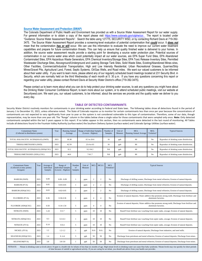#### **Source Water Assessment and Protection (SWAP)**

The Colorado Department of Public Health and Environment has provided us with a Source Water Assessment Report for our water supply. For general information or to obtain a copy of the report please visit [https://www.colorado.gov/cdphe/ccr.](https://www.colorado.gov/cdphe/ccr) The report is located under "Guidance: Source Water Assessment Reports". Search the table using 121775, SECURITY WSD, or by contacting Richard Davis at 719-392- 3475. The Source Water Assessment Report provides a screening-level evaluation of potential contamination that *could* occur. It *does not* mean that the contamination *has or will* occur. We can use this information to evaluate the need to improve our current water treatment capabilities and prepare for future contamination threats. This can help us ensure that quality finished water is delivered to your homes. In addition, the source water assessment results provide a starting point for developing a source water protection plan. Potential sources of contamination in our source water area which could potentially impact all our water sources, are EPA Super Fund Sites, EPA Abandoned Contaminated Sites, EPA Hazardous Waste Generators, EPA Chemical Inventory/Storage Sites, EPA Toxic Release Inventory Sites, Permitted Wastewater Discharge Sites, Aboveground/Underground and Leaking Storage Tank Sites, Solid Waste Sites, Existing/Abandoned Mines sites, Other Facilities, Commercial/Industrial Transportation, High and Low Intensity Residential, Urban Recreational Grasses, Quarries/Strip Mines/Gravel Pits, Agricultural Land, Forest, Septic Systems, Oil/Gas Wells, and Road miles. We want our valued customers to be informed about their water utility. If you want to learn more, please attend any of our regularly scheduled board meetings located at 231 Security Blvd. in Security, which are normally held on the third Wednesday of each month at 5: 30 p.m. If you have any questions concerning this report or regarding your water utility, please contact Richard Davis at Security Water District's office (719-392-3475).

Please contact us to learn more about what you can do to help protect your drinking water sources, to ask any questions you might have about the Drinking Water Consumer Confidence Report, to learn more about our system, or to attend scheduled public meetings, visit our website at Securitywsd.com. We want you, our valued customers, to be informed. about the services we provide and the quality water we deliver to you every day.

#### **TABLE OF DETECTED CONTAMINANTS**

Security Water District routinely monitors for contaminants in your drinking water according to Federal and State laws. The following tables show all detections found in the period of January 1 to December 31, 2021, unless otherwise noted**.** The State of Colorado requires us to monitor for certain contaminants less than once per year because the concentrations of contaminants are not expected to vary significantly from year to year or the system is not considered vulnerable to this type of contamination. Therefore, some of our data, though representative, may be more than one year old. The "Range" column in the tables below show a single value for those contaminants that were sampled only once. **Note:** Only detected contaminants sampled within the last 5 years appear in this report. If no tables appear in this section, then no contaminants were detected in the last round of monitoring. All Tables include all detections found in the Fountain Valley Authority (surface water) the Southern Delivery System (surface water) and Colorado Springs Utilities (surface water).

| Contaminant Name<br>(Collected in distribution system) | Year | Running Annual<br>Average | Range of Individual Samples<br>(Lowest - Highest) | Number of<br>Samples | Unit of<br>Measure | <b>MCL</b><br><b>Running Annual Average</b> | <b>MCL</b><br>Violation? | <b>Typical Sources</b>                    |
|--------------------------------------------------------|------|---------------------------|---------------------------------------------------|----------------------|--------------------|---------------------------------------------|--------------------------|-------------------------------------------|
| TOTAL HALOACETIC ACIDS(HAA5) (SWD)                     | 2021 | 18.38                     | 8.3 to 26.6                                       | 16                   | ppb                | 60                                          | N <sub>0</sub>           | Byproduct of drinking water disinfection. |
| TRIHALOMETHANES (SWD)                                  | 2021 | 42.59                     | 23.4 to 63                                        | 16                   | ppb                | 80                                          | N <sub>0</sub>           | Byproduct of drinking water disinfection. |
| TOTAL HALOACETIC ACIDS(HAA5) (SDS)(CSU)                | 2021 | 32.2                      | $9.2 - 54.2$                                      | <b>NA</b>            | ppb                | 60                                          | No                       | Byproduct of drinking water disinfection. |
| TRIHALOMETHANES (SDS) (CSU)                            | 2021 | 44.6                      | $7 - 61.7$                                        | <b>NA</b>            | ppb                | 80                                          | No                       | Byproduct of drinking water disinfection. |

| <b>Contaminant Name</b><br>(Collected at entry points)<br>Inorganic | Year | Average of<br>Individual<br>Samples | Range of<br><b>Individual Samples</b><br>(Lowest - Highest) | Number<br>of<br>Samples | Unit of<br>Measure | <b>MCL</b>            | <b>MCLG</b> | <b>MCL</b><br>Violation? | <b>Typical Sources</b>                                                                                                                                                                                                         |
|---------------------------------------------------------------------|------|-------------------------------------|-------------------------------------------------------------|-------------------------|--------------------|-----------------------|-------------|--------------------------|--------------------------------------------------------------------------------------------------------------------------------------------------------------------------------------------------------------------------------|
| <b>BARIUM (SWD)</b>                                                 | 2021 | 0.09                                | $0.09 - 0.09$                                               |                         | ppm                | $\overline{c}$        | 2           | No                       | Discharge of drilling wastes; Discharge from metal refineries; Erosion of natural deposits.                                                                                                                                    |
| <b>BARIUM (FVA)</b>                                                 | 2021 | 0.05                                | $0.05 - 0.05$                                               |                         | ppm                | $\overline{c}$        | 2           | No                       | Discharge of drilling wastes; Discharge from metal refineries; Erosion of natural deposits.                                                                                                                                    |
| BARIUM (SDS)(CSU)                                                   | 2021 | 0.03                                | $0.02 - 0.05$                                               | 2                       | ppm                | 2                     | 2           | N <sub>o</sub>           | Discharge of drilling wastes; Discharge from metal refineries; Erosion of natural deposits.                                                                                                                                    |
| FLUORIDE (FVA)                                                      | 2021 | 0.36                                | $0.36 - 0.36$                                               |                         | ppm                |                       |             | N <sub>o</sub>           | Erosion of natural deposits; Water additive that promotes strong teeth; Discharge from fertilizer and<br>aluminum factories.                                                                                                   |
| FLUORIDE (SDS)(CSU)                                                 | 2021 | 0.50                                | $0.14 - 1.54$                                               | 5                       | ppm                | $\boldsymbol{\Delta}$ | 4           | N <sub>o</sub>           | Erosion of natural deposits; Water additive that promotes strong teeth; Discharge from fertilizer and<br>aluminum factories.                                                                                                   |
| NITRATE (SWD)                                                       | 2021 | 1.24                                | $0 - 5.7$                                                   | 5                       | ppm                | 10                    | 10          | No                       | Runoff from fertilizer use; Leaching from septic tanks, sewage; Erosion of natural deposits.                                                                                                                                   |
| NITRATE (SDS)(CSU)                                                  | 2021 | 0.3                                 | $0.3 - 0.3$                                                 |                         | ppm                | 10                    | 10          | No                       | Runoff from fertilizer use; Leaching from septic tanks, sewage; Erosion of natural deposits.                                                                                                                                   |
| NITRATE (FVA)                                                       | 2021 | 0.14                                | $0 - 0.4$                                                   | 5                       | ppm                | 10                    | 10          | No                       | Runoff from fertilizer use; Leaching from septic tanks, sewage; Erosion of natural deposits.                                                                                                                                   |
| NICKEL (FVA)                                                        | 2021 | 1.2                                 | $1.2 - 1.2$                                                 | -1                      | ppb                | N/A                   | N/A         | No                       | Erosion of natural deposits; Discharge from industries, and steel mills.                                                                                                                                                       |
| SELENIUM (SDS)(CSU)                                                 | 2021 | 1.4                                 | $0 - 4.4$                                                   | 5                       | ppb                | 50                    | 50          | N <sub>0</sub>           | Discharge from petroleum and metal refineries; Erosion of natural deposits; Discharge from mines.                                                                                                                              |
| SELENIUM(FVA)                                                       | 2021 | 3.8                                 | $3.8 - 3.8$                                                 |                         | ppb                | 50                    | 50          | No                       | Discharge from petroleum and metal refineries; Erosion of natural deposits; Discharge from mines.                                                                                                                              |
| <b>NITRATE</b>                                                      |      |                                     |                                                             |                         |                    |                       |             |                          | Nitrate in drinking water at levels above 10 ppm is a health risk for infants of less than six months of age. High nitrate levels in drinking water can cause blue baby syndrome. Nitrate levels may rise quickly for short pe |

NITRATE Nitrate in drinking water at levels above 10 ppm is a health risk for infants of less than six months of age. High nitrate levels in drinking water can cause blue baby syndrome. Nitrate levels may rise quickly for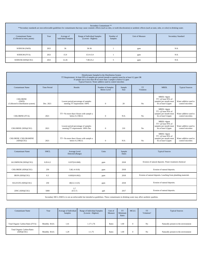| Secondary Contaminant **<br>**Secondary standards are non-enforceable guidelines for contaminants that may cause cosmetic effects (such as skin, or tooth discoloration) or aesthetic effects (such as taste, odor, or color) in drinking water. |      |                                                                                                                                                                      |           |  |     |     |  |  |  |  |
|--------------------------------------------------------------------------------------------------------------------------------------------------------------------------------------------------------------------------------------------------|------|----------------------------------------------------------------------------------------------------------------------------------------------------------------------|-----------|--|-----|-----|--|--|--|--|
| <b>Contaminant Name</b><br>(Collected at entry points)                                                                                                                                                                                           | Year | Unit of Measure<br><b>Secondary Standard</b><br>Range of Individual Samples<br>Number of<br>Average of<br>(Lowest - Highest)<br><b>Individual Samples</b><br>Samples |           |  |     |     |  |  |  |  |
| SODIUM (SWD)                                                                                                                                                                                                                                     | 2021 | 36                                                                                                                                                                   | $36 - 36$ |  | ppm | N/A |  |  |  |  |
| SODIUM (FVA)                                                                                                                                                                                                                                     | 2021 | 15.9                                                                                                                                                                 | 15.9-15.9 |  | ppm | N/A |  |  |  |  |
| SODIUM (SDS)(CSU)                                                                                                                                                                                                                                | 2021 | 12.26                                                                                                                                                                | 7.08-25.2 |  | ppm | N/A |  |  |  |  |

|                                                                | Disinfectants Sampled in the Distribution System<br>TT Requirement: At least 95% of samples per period (month or quarter) must be at least 0.2 ppm OR<br>If sample size is less than 40 no more than 1 sample is below 0.2 ppm<br>Typical Sources: Water additive used to control microbes |                                                                         |                                         |                       |                        |                                                                                        |                                            |  |  |  |  |  |
|----------------------------------------------------------------|--------------------------------------------------------------------------------------------------------------------------------------------------------------------------------------------------------------------------------------------------------------------------------------------|-------------------------------------------------------------------------|-----------------------------------------|-----------------------|------------------------|----------------------------------------------------------------------------------------|--------------------------------------------|--|--|--|--|--|
| <b>Contaminant Name</b>                                        | <b>Time Period</b>                                                                                                                                                                                                                                                                         | Results                                                                 | Number of Samples<br><b>Below Level</b> | Sample<br><b>Size</b> | <b>TT</b><br>Violation | <b>MRDL</b>                                                                            | <b>Typical Sources</b>                     |  |  |  |  |  |
| <b>CHLORINE</b><br>(SWD)<br>(Collected in distribution system) | Dec. 2021                                                                                                                                                                                                                                                                                  | Lowest period percentage of samples<br>meeting TT requirement: 100%     | $\Omega$                                | 20                    | N <sub>o</sub>         | $MRDL = 4ppm$<br>$TT = @$ least 95% of<br>samples per month must<br>be at least 0.2ppm | Water additive used to<br>control microbes |  |  |  |  |  |
| <b>CHLORINE (FVA)</b>                                          | 2021                                                                                                                                                                                                                                                                                       | TT= No more than 4 hours with sample a<br>below 0.2 MG/L                | $\mathbf{0}$                            | N/A                   | No                     | $MRDL = 4ppm$<br>$TT = @$ least 95% of<br>samples per month must<br>be at least 0.2ppm | Water additive used to<br>control microbes |  |  |  |  |  |
| CHLORINE (SDS)(CSU)                                            | 2021                                                                                                                                                                                                                                                                                       | Lowest period percentage of samples<br>meeting TT requirement: 100% Dec | $\mathbf{0}$                            | 210                   | N <sub>o</sub>         | $MRDL = 4ppm$<br>$TT = @$ least 95% of<br>samples per month must<br>be at least 0.2ppm | Water additive used to<br>control microbes |  |  |  |  |  |
| CHLORINE /CHLORAMINE<br>(SDS)(CSU)                             | 2021                                                                                                                                                                                                                                                                                       | TT= No more than 4 hours with sample a<br>below 0.2 MG/L                | $\mathbf{0}$                            | N/A                   | No                     | MRDL=4ppm<br>$TT = @$ least 95% of<br>samples per month must<br>be at least 0.2ppm     | Water additive used to<br>control microbes |  |  |  |  |  |

| <b>Contaminant Name</b> | <b>SMCL</b>                                                                                                                                 | Average Level<br>Detected (Range) | Units | Sample<br>Dates | <b>Typical Sources</b>                                        |  |  |  |  |  |
|-------------------------|---------------------------------------------------------------------------------------------------------------------------------------------|-----------------------------------|-------|-----------------|---------------------------------------------------------------|--|--|--|--|--|
| ALUMINUM (SDS)(CSU)     | $0.05 - 0.2$                                                                                                                                | $0.037(0-0.068)$                  | ppm   | 2018            | Erosion of natural deposits. Water treatment chemical         |  |  |  |  |  |
| CHLORIDE (SDS)(CSU)     | 250                                                                                                                                         | $5.8(1.4-10.8)$                   | ppm   | 2018            | Erosion of natural deposits.                                  |  |  |  |  |  |
| IRON (SDS)(CSU)         | 0.3                                                                                                                                         | $0.003(0-0.062)$                  | ppm   | 2018            | Erosion of natural deposits. Leaching from plumbing materials |  |  |  |  |  |
| SULFATE (SDS)(CSU)      | 250                                                                                                                                         | $40(12.3-125)$                    | ppm   | 2018            | Erosion of natural deposits.                                  |  |  |  |  |  |
| ZINC (SDS)(CSU)         | 5000                                                                                                                                        | 3.7<br>$(0-3.7)$                  | ppb   | 2017            | Erosion of natural deposits.                                  |  |  |  |  |  |
|                         | Secondary MCL (SMCL) is not an enforceable but intended as guidelines. These contaminants in drinking water may affect aesthetic qualities. |                                   |       |                 |                                                               |  |  |  |  |  |

| <b>Contaminant Name</b>                  | Year         | Average of Individual<br>Samples | Range of Individual Samples<br>(Lowest - Highest) | Unit of<br>Measure | <b>TT</b><br>Minimum<br>Ratio | <b>MCLG</b> | <b>TT</b><br>Violation? | <b>Typical Sources</b>               |
|------------------------------------------|--------------|----------------------------------|---------------------------------------------------|--------------------|-------------------------------|-------------|-------------------------|--------------------------------------|
| Total Organic Carbon Ratio (FVA)         | Monthly -RAA | 1.41                             | $1.17 - 1.76$                                     | Ratio              | 1.00                          | $\Omega$    | N <sub>o</sub>          | Naturally present in the environment |
| Total Organic Carbon Ratio<br>(SDS)(CSU) | Monthly -RAA | 1.29                             | $1 - 1.75$                                        | Ratio              | 1.00                          | $\Omega$    | N <sub>o</sub>          | Naturally present in the environment |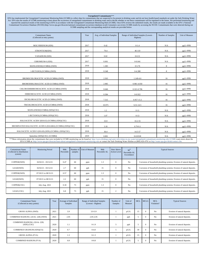| <b>Unregulated Contaminants***</b><br>EPA has implemented the Unregulated Contaminant Monitoring Rule (UCMR) to collect data for contaminants that are suspected to be present in drinking water and do not have health-based standards set under the Safe Drinking<br>Act. EPA uses the results of UCMR monitoring to learn about the occurrence of unregulated contaminants in drinking water and to decide whether or not these contaminants will be regulated in the future. We performed monitor<br>reported the analytical results of the monitoring to EPA in accordance with the Unregulated Contaminant Monitoring Rule (UCMR). Once EPA reviews the submitted results, the results are made available in the EPA's National<br>Contaminant Occurrence Database (NCOD) (http://www.epa.gov/dwucmr/national-contaminant-occurrence-database-ncod) Consumers can review UCMR results by accessing the NCOD. Contaminants that were detected during our<br>UCMR sampling and the corresponding analytical results are provided below |      |                            |                                                   |                   |                        |  |  |  |  |  |  |
|--------------------------------------------------------------------------------------------------------------------------------------------------------------------------------------------------------------------------------------------------------------------------------------------------------------------------------------------------------------------------------------------------------------------------------------------------------------------------------------------------------------------------------------------------------------------------------------------------------------------------------------------------------------------------------------------------------------------------------------------------------------------------------------------------------------------------------------------------------------------------------------------------------------------------------------------------------------------------------------------------------------------------------------------|------|----------------------------|---------------------------------------------------|-------------------|------------------------|--|--|--|--|--|--|
| <b>Contaminant Name</b><br>(Collected at entry points)                                                                                                                                                                                                                                                                                                                                                                                                                                                                                                                                                                                                                                                                                                                                                                                                                                                                                                                                                                                     | Year | Avg. of Individual Samples | Range of Individual Samples (Lowest -<br>Highest) | Number of Samples | <b>Unit of Measure</b> |  |  |  |  |  |  |
| MOLYBDENUM (SDS)                                                                                                                                                                                                                                                                                                                                                                                                                                                                                                                                                                                                                                                                                                                                                                                                                                                                                                                                                                                                                           | 2017 | 0.42                       | $0 - 1.4$                                         | N/A               | $\mu$ g/L=PPB          |  |  |  |  |  |  |
| STRONTIUM(SDS)                                                                                                                                                                                                                                                                                                                                                                                                                                                                                                                                                                                                                                                                                                                                                                                                                                                                                                                                                                                                                             | 2017 | 79.4                       | $46 - 110$                                        | N/A               | $\mu$ g/L=PPB          |  |  |  |  |  |  |
| VANADIUM (SDS)                                                                                                                                                                                                                                                                                                                                                                                                                                                                                                                                                                                                                                                                                                                                                                                                                                                                                                                                                                                                                             | 2017 | 0.02                       | $0 - 0.31$                                        | N/A               | $\mu$ g/L=PPB          |  |  |  |  |  |  |
| CHROMIUM-6 (SDS)                                                                                                                                                                                                                                                                                                                                                                                                                                                                                                                                                                                                                                                                                                                                                                                                                                                                                                                                                                                                                           | 2017 | 0.001                      | $0 - 0.041$                                       | N/A               | $\mu$ g/L=PPB          |  |  |  |  |  |  |
| MANGANESE(UCMR4) (SWD)                                                                                                                                                                                                                                                                                                                                                                                                                                                                                                                                                                                                                                                                                                                                                                                                                                                                                                                                                                                                                     | 2018 | 1.383                      | $0 - 5.76$                                        | 8                 | $\mu$ g/L=PPB          |  |  |  |  |  |  |
| 1-BUTANOL(UCMR4) (SWD)                                                                                                                                                                                                                                                                                                                                                                                                                                                                                                                                                                                                                                                                                                                                                                                                                                                                                                                                                                                                                     | 2018 | 0.548                      | 0-4.380                                           | 8                 | $\mu$ g/L=PPB          |  |  |  |  |  |  |
| BROMOCHLORACETIC ACID (UCMR4) (SWD)                                                                                                                                                                                                                                                                                                                                                                                                                                                                                                                                                                                                                                                                                                                                                                                                                                                                                                                                                                                                        | 2018 | 2.563                      | 1.140-4.6                                         | 16                | $\mu$ g/L=PPB          |  |  |  |  |  |  |
| BROMODIHLORACETIC ACID (UCMR4) (SWD)                                                                                                                                                                                                                                                                                                                                                                                                                                                                                                                                                                                                                                                                                                                                                                                                                                                                                                                                                                                                       | 2018 | 2.985                      | 0.981-4.050                                       | 16                | $\mu$ g/L=PPB          |  |  |  |  |  |  |
| CHLORODIBIBROMOACRTIC ACID (UCMR4) (SWD)                                                                                                                                                                                                                                                                                                                                                                                                                                                                                                                                                                                                                                                                                                                                                                                                                                                                                                                                                                                                   | 2018 | 0.646                      | 0.321-0.706                                       | 16                | $\mu$ g/L=PPB          |  |  |  |  |  |  |
| DIBROMOACETIC ACID (UCMR4) (SWD)                                                                                                                                                                                                                                                                                                                                                                                                                                                                                                                                                                                                                                                                                                                                                                                                                                                                                                                                                                                                           | 2018 | 0.584                      | $0 - 0.922$                                       | 16                | $\mu$ g/L=PPB          |  |  |  |  |  |  |
| DICHLOROACETIC ACID (UCMR4) (SWD)                                                                                                                                                                                                                                                                                                                                                                                                                                                                                                                                                                                                                                                                                                                                                                                                                                                                                                                                                                                                          | 2018 | 7.515                      | 0.957-15.5                                        | 16                | $\mu$ g/L=PPB          |  |  |  |  |  |  |
| TRICHLOROACETIC ACID (UCMR4) (SWD)                                                                                                                                                                                                                                                                                                                                                                                                                                                                                                                                                                                                                                                                                                                                                                                                                                                                                                                                                                                                         | 2018 | 10.975                     | $6.51 - 14.5$                                     | 16                | $\mu$ g/L=PPB          |  |  |  |  |  |  |
| MANGANESE(UCMR4) (SDS)(CSU)                                                                                                                                                                                                                                                                                                                                                                                                                                                                                                                                                                                                                                                                                                                                                                                                                                                                                                                                                                                                                | 2018 | 1.2                        | $0 - 11$                                          | N/A               | $\mu$ g/L=PPB          |  |  |  |  |  |  |
| 1-BUTANOL(UCMR4) (SDS)(CSU)                                                                                                                                                                                                                                                                                                                                                                                                                                                                                                                                                                                                                                                                                                                                                                                                                                                                                                                                                                                                                | 2018 | 1.07                       | $0 - 13$                                          | N/A               | $\mu$ g/L=PPB          |  |  |  |  |  |  |
| HALOACETIC ACIDS 5(HAA5) (UCMR4) (SDS)(CSU)                                                                                                                                                                                                                                                                                                                                                                                                                                                                                                                                                                                                                                                                                                                                                                                                                                                                                                                                                                                                | 2018 | 33.9                       | $10.2 - 55$                                       | N/A               | $\mu$ g/L=PPB          |  |  |  |  |  |  |
| BROMINATED HALOACETIC ACIDS 6 (HAABr6) (UCMR4) (SDS)(CSU)                                                                                                                                                                                                                                                                                                                                                                                                                                                                                                                                                                                                                                                                                                                                                                                                                                                                                                                                                                                  | 2018 | 3.18                       | $0.79 - 9.1$                                      | N/A               | $\mu$ g/L=PPB          |  |  |  |  |  |  |
| HALOACETIC ACIDS 9 (HAA9) (SDS) (UCMR4) (SDS)(CSU)                                                                                                                                                                                                                                                                                                                                                                                                                                                                                                                                                                                                                                                                                                                                                                                                                                                                                                                                                                                         | 2018 | 36.4                       | 14.5-57                                           | $\rm N/A$         | $\mu$ g/L=PPB          |  |  |  |  |  |  |
| Quinoline (SDS)(CSU) (UCMR4)                                                                                                                                                                                                                                                                                                                                                                                                                                                                                                                                                                                                                                                                                                                                                                                                                                                                                                                                                                                                               | 2019 | 0.001                      | 0-0.0318                                          | N/A               | $\mu$ g/L=PPB          |  |  |  |  |  |  |
| ***More information about the contaminants that were included in UCMR monitoring can be found at: http://www.drinktap.org/water-info/whats-in-my-water/unregulated-contaminant-monitoring-rule-UCMR Learn more about the<br>EPA UCMR at: http://www.epa.gov/dwucmr/learn-about-unregulated-contaminant-monitoring-rule or contact the Safe Drinking Water Hotline at (800) 426-4791 or http://water.epa.gov/drink/contact.cfm.                                                                                                                                                                                                                                                                                                                                                                                                                                                                                                                                                                                                             |      |                            |                                                   |                   |                        |  |  |  |  |  |  |

F

h

| <b>Contaminant Name</b><br>(Collected in distribution)<br>system) | <b>Monitoring Period</b> | 90 <sub>th</sub><br>Percentile | samples | Number of Unit of Measure | 90 <sub>th</sub><br>Percentile AL | Sites Above<br><b>Action Level</b> | 90 <sup>th</sup><br>Percentile AL<br>Exceedance | <b>Typical Sources</b>                                                |
|-------------------------------------------------------------------|--------------------------|--------------------------------|---------|---------------------------|-----------------------------------|------------------------------------|-------------------------------------------------|-----------------------------------------------------------------------|
| COPPER(SWD)                                                       | $02/02/21 - 03/12/21$    | 0.47                           | 60      | ppm                       | 1.3                               | $\Omega$                           | No                                              | Corrosion of household plumbing systems; Erosion of natural deposits. |
| LEAD(SWD)                                                         | $02/02/21 - 03/12/21$    | 2.7                            | 60      | ppb                       | 15                                |                                    | No                                              | Corrosion of household plumbing systems; Erosion of natural deposits. |
| COPPER(SWD)                                                       | 07/20/21 to 08/31/21     | 0.57                           | 60      | ppm                       | 1.3                               |                                    | No                                              | Corrosion of household plumbing systems; Erosion of natural deposits. |
| LEAD(SWD)                                                         | 07/20/21 to 08/31/21     | 2.2                            | 60      | ppb                       | 15                                |                                    | No                                              | Corrosion of household plumbing systems; Erosion of natural deposits. |
| COPPER(CSU)                                                       | July-Aug. 2021           | 0.18                           | 73      | ppm                       | 1.3                               | $\Omega$                           | No                                              | Corrosion of household plumbing systems; Erosion of natural deposits. |
| LEAD (CSU)                                                        | July-Aug. 2021           | 6.8                            | 73      | ppb                       | 15                                | $\sim$                             | No                                              | Corrosion of household plumbing systems; Erosion of natural deposits. |

| Contaminant Name<br>(Collected at entry points) | Year | Average of Individual<br><b>Samples</b> | Range of Individual Samples<br>(Lowest - Highest) | Number of<br>Samples | Unit of<br>Measure | <b>MCL</b> | <b>MCLG</b> | <b>MCL</b><br>Violation? | <b>Typical Sources</b>       |
|-------------------------------------------------|------|-----------------------------------------|---------------------------------------------------|----------------------|--------------------|------------|-------------|--------------------------|------------------------------|
| <b>GROSS ALPHA (SWD)</b>                        | 2021 | 3.9                                     | 3.9-3.9                                           |                      | pCi/L              | 15         | O           | N <sub>o</sub>           | Erosion of natural deposits. |
| COMBINED RADIUM $(-226 \& -228)$ (SWD)          | 2021 | 2.05                                    | $2.05 - 2.05$                                     |                      | ppb                | 5          |             | No                       | Erosion of natural deposits. |
| COMBINED RADIUM (-226 & -228)<br>(SDS) (CSU)    | 2020 | 1.1                                     | $0-1.9$                                           |                      | ppb                | 5          |             | No                       | Erosion of natural deposits. |
| COMBINED URANIUM (SDS)(CS)                      | 2020 | 0.7                                     | $0 - 4.0$                                         | 5                    | pCi/L              | 30         |             | No                       | Erosion of natural deposits. |
| <b>GROSS ALPHA (FVA)</b>                        | 2020 | 1.3                                     | $0 - 1.3$                                         |                      | pCi/L              | 15         |             | No                       | Erosion of natural deposits. |
| <b>COMBINED RADIUM (FVA)</b>                    | 2020 | 0.8                                     | $0 - 0.8$                                         |                      | pCi/L              | 5          | $\Omega$    | No                       | Erosion of natural deposits. |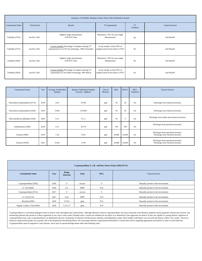|                         | Summary of Turbidity Sampled at Entry Point of the Distribution System |                                                                                                        |                                                                    |                        |                        |  |  |  |  |  |  |
|-------------------------|------------------------------------------------------------------------|--------------------------------------------------------------------------------------------------------|--------------------------------------------------------------------|------------------------|------------------------|--|--|--|--|--|--|
| <b>Contaminant Name</b> | Time Period                                                            | Results                                                                                                | TT requirement                                                     | <b>TT</b><br>Violation | <b>Typical Sources</b> |  |  |  |  |  |  |
| Turbidity (FVA)         | Jan-Dec 2021                                                           | Highest single measurement<br>0.09 NTU June                                                            | Maximum 1 NTU for any single<br>Measurement                        | N <sub>o</sub>         | Soil Runoff            |  |  |  |  |  |  |
| Turbidity (FVA)         | Jan-Dec 2021                                                           | Lowest monthly Percentage of samples meeting TT<br>requirement for our (FVA) technology: 100% December | In any month, at least 95% of<br>samples must be less than 0.3 NTU | N <sub>0</sub>         | Soil Runoff            |  |  |  |  |  |  |
| Turbidity (SDS)         | Jan-Dec 2021                                                           | Highest single measurement<br>0.60 NTU June                                                            | Maximum 1 NTU for any single<br>Measurement                        | N <sub>0</sub>         | Soil Runoff            |  |  |  |  |  |  |
| Turbidity (SDS)         | Jan-Dec 2021                                                           | Lowest monthly Percentage of samples meeting TT<br>requirement for our (SDS) technology: 99% March     | In any month, at least 95% of<br>samples must be less than 0.3 NTU | N <sub>0</sub>         | Soil Runoff            |  |  |  |  |  |  |

| <b>Contaminant Name</b>          | Year | Average of Individual<br><b>Samples</b> | Range of Individual Samples<br>(Lowest - Highest) | Unit of<br>Measure | <b>MCL</b> | <b>MCLG</b>  | <b>MCL</b><br>Violation? | <b>Typical Sources</b>                                                   |
|----------------------------------|------|-----------------------------------------|---------------------------------------------------|--------------------|------------|--------------|--------------------------|--------------------------------------------------------------------------|
| Hexachlorcyclopentadiene (FVA)   | 2018 | 0.03                                    | $0 - 0.06$                                        | ppb                | 50         | 50           | No                       | Discharge from chemical factories                                        |
| Hexachlorcyclopentadiene (SDS)   | 2019 | 0.004                                   | $0 - 0.048$                                       | ppb                | 50         | 50           | N <sub>o</sub>           | Discharge from chemical factories                                        |
| Di(2-ethylhexyl) phthalate (SDS) | 2020 | 0.13                                    | $0 - 1.2$                                         | ppb                | 50         | $\mathbf{0}$ | No                       | Discharge from rubber and chemical factories                             |
| Ethylbenzene (SDS)               | 2018 | 0.15                                    | $0 - 0.79$                                        | ppb                | 700        | 700          | No                       | Discharge from petroleum factories.                                      |
| Xylenes (SDS)                    | 2019 | 1.24                                    | $0 - 4.6$                                         | ppb                | 10,000     | 10,000       | N <sub>o</sub>           | Discharge from petroleum factories.<br>Discharge from chemical factories |
| Xylenes (SWD)                    | 2021 | 0.018                                   | $0 - .09$                                         | ppb                | 10,000     | 10,000       | N <sub>o</sub>           | Discharge from petroleum factories.<br>Discharge from chemical factories |

| Cryptosporidium, E. coli and Raw Source Water (SDS) (FVA) |      |                          |              |                |                                      |  |  |  |  |  |  |
|-----------------------------------------------------------|------|--------------------------|--------------|----------------|--------------------------------------|--|--|--|--|--|--|
| <b>Contaminant Name</b>                                   | Year | Range<br><b>Detected</b> | <b>Units</b> | <b>MCL</b>     | <b>Typical Sources</b>               |  |  |  |  |  |  |
| Cryptosporidium (SDS)                                     | 2018 | $\mathbf{0}$             | oocysts      | $\mathbf{0}$   | Naturally present in the environment |  |  |  |  |  |  |
| E. Coli (SDS)                                             | 2018 | $0 - 2$                  | <b>MPN</b>   | N/A            | Naturally present in the environment |  |  |  |  |  |  |
| Cryptosporidium (FVA)                                     | 2017 | $\mathbf{0}$             | oocysts      | $\overline{0}$ | Naturally present in the environment |  |  |  |  |  |  |
| E. Coli (FVA)                                             | 2017 | $0 - 10$                 | <b>MPN</b>   | N/A            | Naturally present in the environment |  |  |  |  |  |  |
| Bromide (SDS)                                             | 2018 | $0-79.4$                 | ppm          | N/A            | Naturally present in the environment |  |  |  |  |  |  |
| Organic Carbon, Total (SDS)                               | 2018 | 1.31-2.17                | ppm          | N/A            | Naturally present in the environment |  |  |  |  |  |  |

Cryptosporidium is a microbial pathogen found in surface water throughout the United States. Although filtration removes cryptosporidium, the most commonly used filtration methods cannot guarantee 100 percent removal. Our Cryptosporidium must be ingested to cause disease, and it may be spread through means other than drinking water.